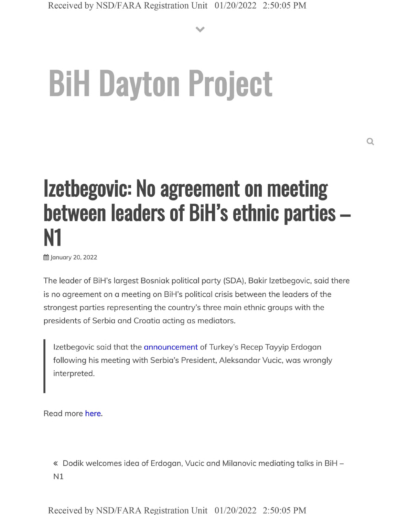**V**

## **BiH Dayton Project**

## **Izetbegovic: No agreement on meeting between leaders of BiH's ethnic parties - N1**

**曲 January 20, 2022** 

The leader of BiH's largest Bosniak political party (SDA), Bakir Izetbegovic, said there is no agreement on a meeting on BiH's political crisis between the leaders of the strongest parties representing the country's three main ethnic groups with the presidents of Serbia and Croatia acting as mediators.

Izetbegovic said that the announcement of Turkey's Recep Tayyip Erdogan following his meeting with Serbia's President, Aleksandar Vucic, was wrongly interpreted.

Read more here.

« Dodik welcomes idea of Erdogan, Vucic and Milanovic mediating talks in BiH - N1

Received by NSD/FARA Registration Unit 01/20/2022 2:50:05 PM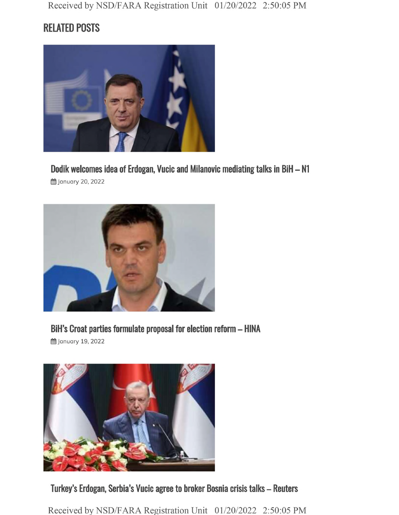## **RELATED POSTS**



**Dodik welcomes idea of Erdogan, Vucic and Milanovic mediating talks in BiH - N1**

**曲 January 20, 2022** 



**BiH's Croat parties formulate proposal for election reform - HINA**

§§ January 19, 2022



**Turkey's Erdogan, Serbia's Vucic agree to broker Bosnia crisis talks - Reuters**

Received by NSD/FARA Registration Unit 01/20/2022 2:50:05 PM